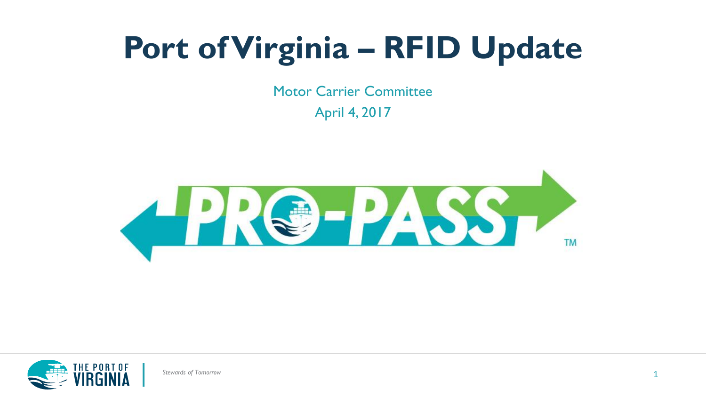Motor Carrier Committee April 4, 2017





*Stewards of Tomorrow*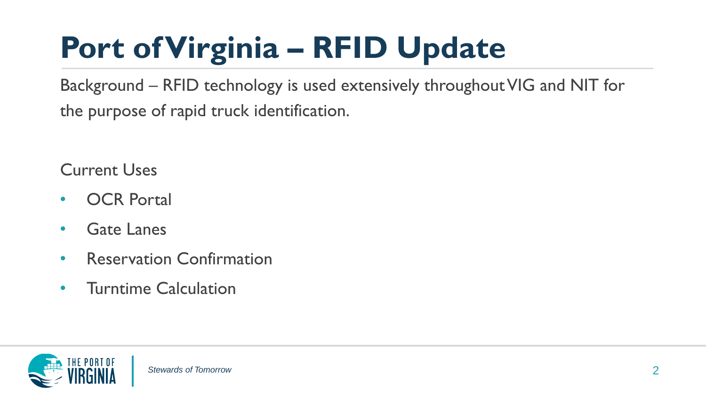Background – RFID technology is used extensively throughout VIG and NIT for the purpose of rapid truck identification.

Current Uses

- OCR Portal
- Gate Lanes
- Reservation Confirmation
- Turntime Calculation

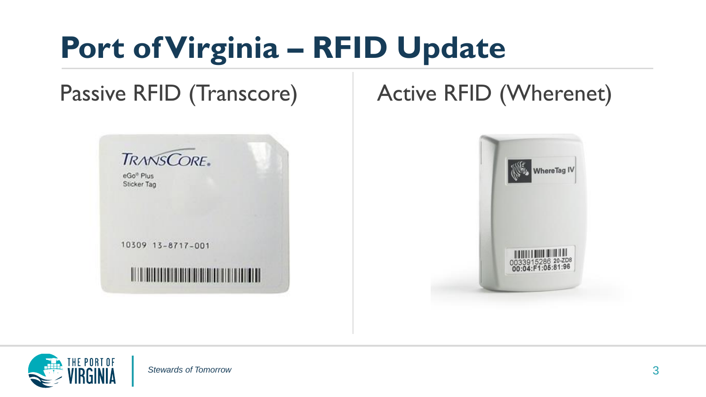#### Passive RFID (Transcore) Active RFID (Wherenet)





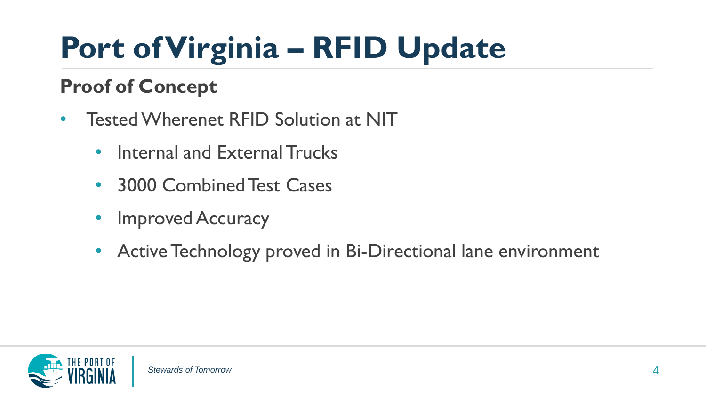#### **Proof of Concept**

- Tested Wherenet RFID Solution at NIT
	- Internal and External Trucks
	- 3000 Combined Test Cases
	- Improved Accuracy
	- Active Technology proved in Bi-Directional lane environment

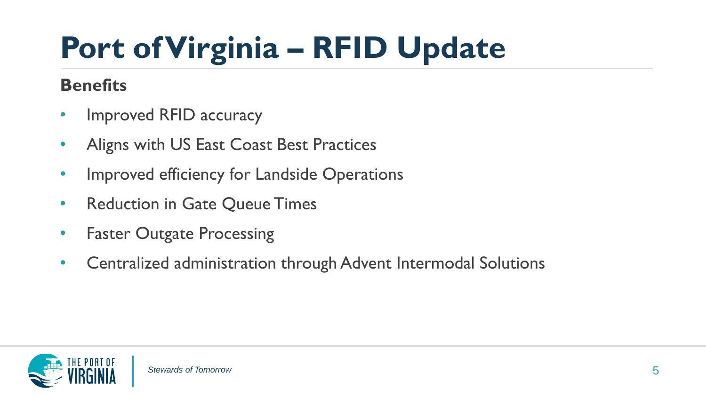#### **Benefits**

- Improved RFID accuracy
- Aligns with US East Coast Best Practices
- Improved efficiency for Landside Operations
- Reduction in Gate Queue Times
- Faster Outgate Processing
- Centralized administration through Advent Intermodal Solutions

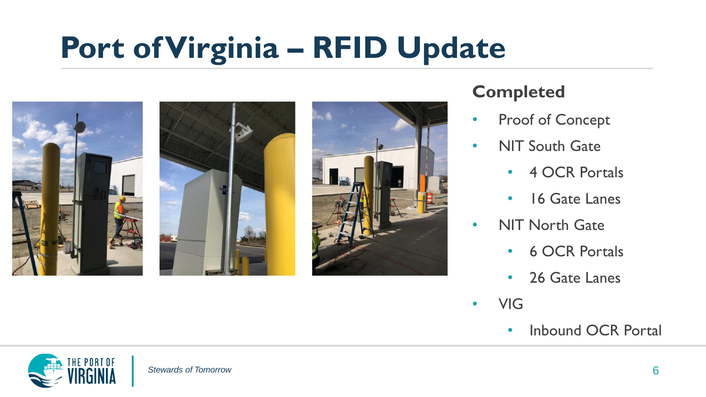

#### **Completed**

- Proof of Concept
- NIT South Gate
	- 4 OCR Portals
	- 16 Gate Lanes
- NIT North Gate
	- 6 OCR Portals
	- 26 Gate Lanes
- VIG
	- Inbound OCR Portal

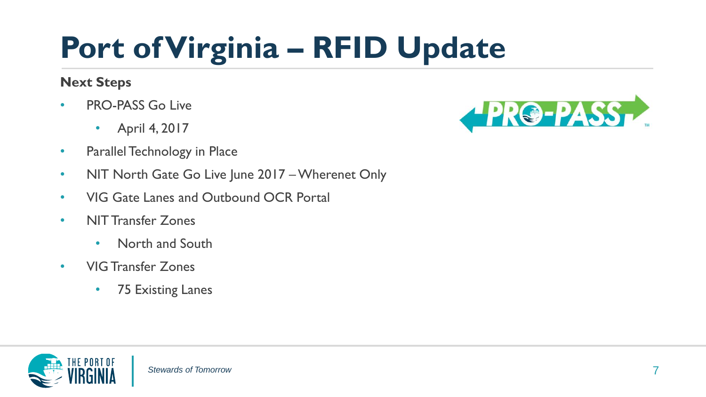#### **Next Steps**

- PRO-PASS Go Live
	- April 4, 2017
- Parallel Technology in Place
- NIT North Gate Go Live June 2017 Wherenet Only
- VIG Gate Lanes and Outbound OCR Portal
- NIT Transfer Zones
	- North and South
- VIG Transfer Zones
	- 75 Existing Lanes



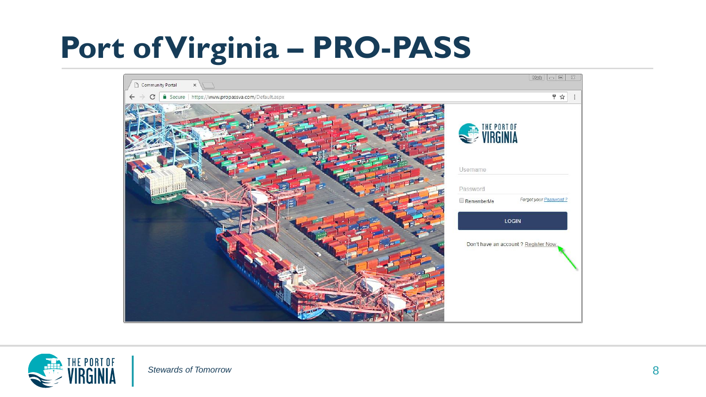

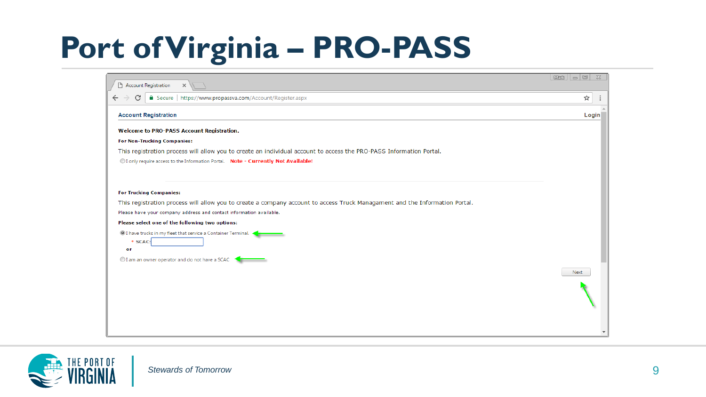| <b>Account Registration</b><br>n<br>$\times$                                                                                | $\mathbb{Z}$<br>$\circ$ $\circ$ $\circ$<br><b>Mark</b> |
|-----------------------------------------------------------------------------------------------------------------------------|--------------------------------------------------------|
| Secure   https://www.propassva.com/Account/Register.aspx<br>C<br>$\leftarrow$                                               | ☆                                                      |
| <b>Account Registration</b>                                                                                                 | Login                                                  |
| <b>Welcome to PRO-PASS Account Registration.</b>                                                                            |                                                        |
| <b>For Non-Trucking Companies:</b>                                                                                          |                                                        |
| This registration process will allow you to create an individual account to access the PRO-PASS Information Portal.         |                                                        |
| O I only require access to the Information Portal. Note - Currently Not Available!                                          |                                                        |
|                                                                                                                             |                                                        |
| <b>For Trucking Companies:</b>                                                                                              |                                                        |
| This registration process will allow you to create a company account to access Truck Managament and the Information Portal. |                                                        |
| Please have your company address and contact information available.                                                         |                                                        |
| Please select one of the following two options:                                                                             |                                                        |
| <sup>1</sup> I have trucks in my fleet that service a Container Terminal.<br>$*$ SCAC:                                      |                                                        |
| or                                                                                                                          |                                                        |
| I am an owner operator and do not have a SCAC                                                                               |                                                        |
|                                                                                                                             | <b>Next</b>                                            |
|                                                                                                                             |                                                        |
|                                                                                                                             |                                                        |
|                                                                                                                             |                                                        |
|                                                                                                                             |                                                        |

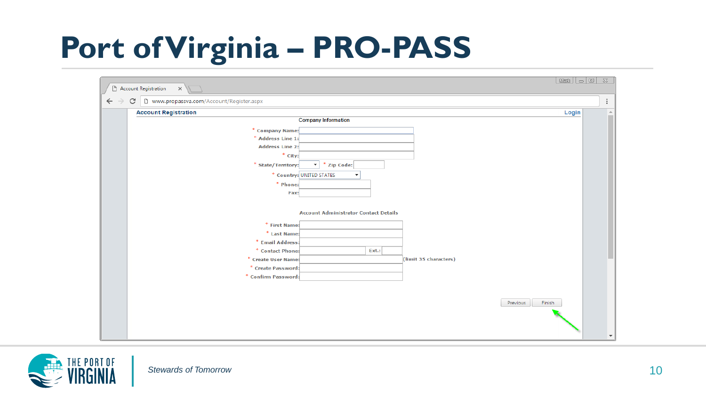| Mww.propassva.com/Account/Register.aspx<br>C |                                                      |
|----------------------------------------------|------------------------------------------------------|
| <b>Account Registration</b>                  | Login<br><b>Company Information</b>                  |
| * Company Name:                              |                                                      |
| * Address Line 1:                            |                                                      |
| <b>Address Line 2:</b>                       |                                                      |
| * City:                                      |                                                      |
| * State/Territory:                           | * Zip Code:<br>▾                                     |
|                                              | * Country: UNITED STATES<br>$\overline{\phantom{a}}$ |
| * Phone:                                     |                                                      |
| Fax:                                         |                                                      |
|                                              |                                                      |
|                                              | <b>Account Administrator Contact Details</b>         |
| * First Name:                                |                                                      |
| * Last Name:                                 |                                                      |
| * Email Address:                             |                                                      |
| * Contact Phone:                             | Ext.:                                                |
| * Create User Name:                          | (limit 35 characters)                                |
| * Create Password:                           |                                                      |
| * Confirm Password:                          |                                                      |
|                                              |                                                      |
|                                              |                                                      |
|                                              | Finish<br>Previous                                   |
|                                              |                                                      |

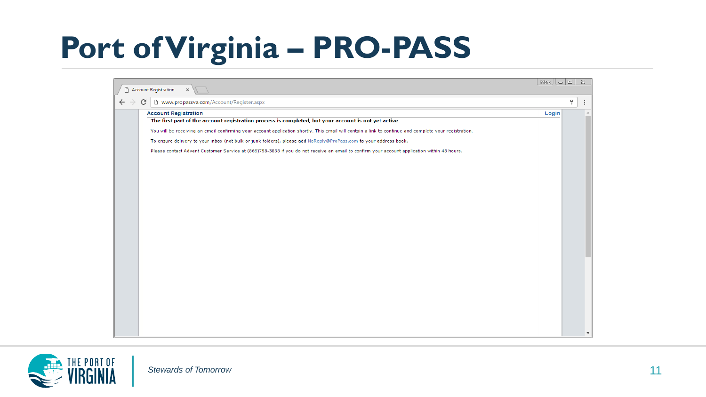| Account Registration<br>$\times$                                                                                                                       |       |   |  |
|--------------------------------------------------------------------------------------------------------------------------------------------------------|-------|---|--|
| [] www.propassva.com/Account/Register.aspx<br>C                                                                                                        |       | Ÿ |  |
| <b>Account Registration</b>                                                                                                                            | Login |   |  |
| The first part of the account registration process is completed, but your account is not yet active.                                                   |       |   |  |
| You will be receiving an email confirming your account application shortly. This email will contain a link to continue and complete your registration. |       |   |  |
| To ensure delivery to your inbox (not bulk or junk folders), please add NoReply@ProPass.com to your address book.                                      |       |   |  |
| Please contact Advent Customer Service at (866)758-3838 if you do not receive an email to confirm your account application within 48 hours.            |       |   |  |
|                                                                                                                                                        |       |   |  |
|                                                                                                                                                        |       |   |  |
|                                                                                                                                                        |       |   |  |
|                                                                                                                                                        |       |   |  |
|                                                                                                                                                        |       |   |  |
|                                                                                                                                                        |       |   |  |
|                                                                                                                                                        |       |   |  |
|                                                                                                                                                        |       |   |  |
|                                                                                                                                                        |       |   |  |
|                                                                                                                                                        |       |   |  |
|                                                                                                                                                        |       |   |  |
|                                                                                                                                                        |       |   |  |
|                                                                                                                                                        |       |   |  |
|                                                                                                                                                        |       |   |  |
|                                                                                                                                                        |       |   |  |
|                                                                                                                                                        |       |   |  |
|                                                                                                                                                        |       |   |  |
|                                                                                                                                                        |       |   |  |
|                                                                                                                                                        |       |   |  |

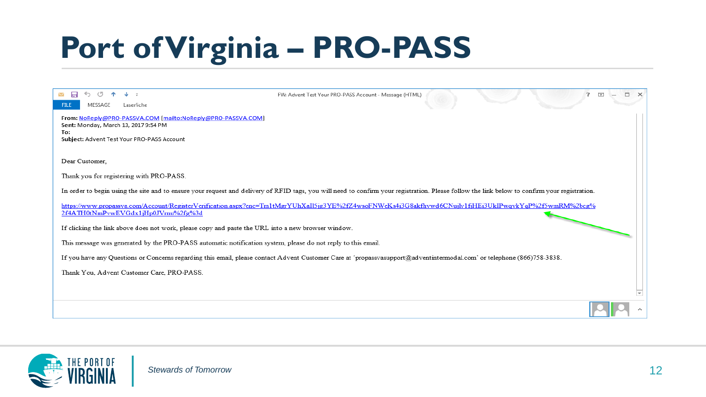| н<br>$\sim$<br>MESSAGE<br>Laserfiche<br><b>FILE</b>                                                                                                                                                                                       | FW: Advent Test Your PRO-PASS Account - Message (HTML) |  | ъ. | $\overline{a}$ |  |
|-------------------------------------------------------------------------------------------------------------------------------------------------------------------------------------------------------------------------------------------|--------------------------------------------------------|--|----|----------------|--|
| From: NoReply@PRO-PASSVA.COM [mailto:NoReply@PRO-PASSVA.COM]<br>Sent: Monday, March 13, 2017 9:54 PM<br>To:<br>Subject: Advent Test Your PRO-PASS Account                                                                                 |                                                        |  |    |                |  |
| Dear Customer,                                                                                                                                                                                                                            |                                                        |  |    |                |  |
| Thank you for registering with PRO-PASS.<br>In order to begin using the site and to ensure your request and delivery of RFID tags, you will need to confirm your registration. Please follow the link below to confirm your registration. |                                                        |  |    |                |  |
| https://www.propassva.com/Account/RegisterVerification.aspx?enc=Tm1tMgrYUhXaI15jg3YE%2fZ4wsoFNWeKs4i3G8akfhvwd6CNujlv1fjHEi3UkIPwqvkYqP%2f5wmRM%2bcg%<br>2f4ATH0tNmPvwEVGdx1jHp0JVrnu%2fg%3d                                              |                                                        |  |    |                |  |
| If clicking the link above does not work, please copy and paste the URL into a new browser window.<br>This message was generated by the PRO-PASS automatic notification system, please do not reply to this email.                        |                                                        |  |    |                |  |
| If you have any Questions or Concerns regarding this email, please contact Advent Customer Care at 'propassvasupport@adventintermodal.com' or telephone (866)758-3838.<br>Thank You, Advent Customer Care, PRO-PASS.                      |                                                        |  |    |                |  |
|                                                                                                                                                                                                                                           |                                                        |  |    |                |  |
|                                                                                                                                                                                                                                           |                                                        |  |    |                |  |

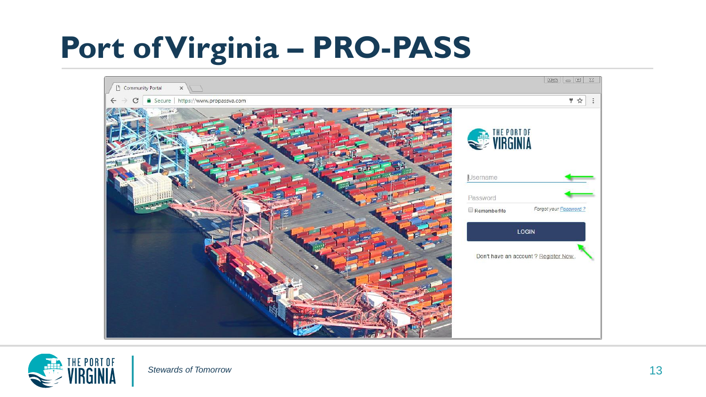

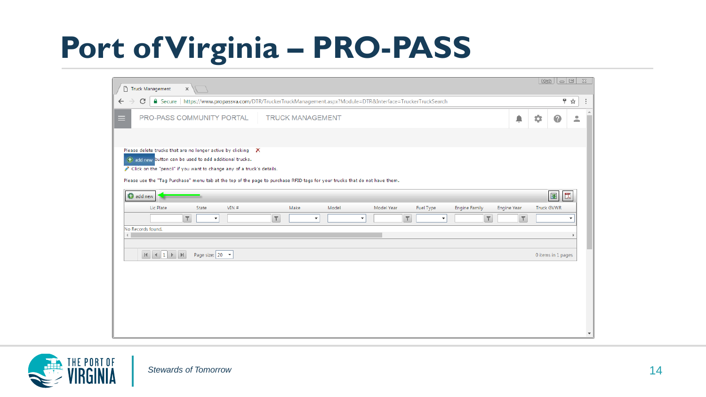| Truck Management<br>$\times$                                                                                                                                                                                                                                                                                                |        | $\text{Mink} \mid \text{I} \mid \text{II} \mid \text{II}$ |                         |
|-----------------------------------------------------------------------------------------------------------------------------------------------------------------------------------------------------------------------------------------------------------------------------------------------------------------------------|--------|-----------------------------------------------------------|-------------------------|
| ● Secure   https://www.propassva.com/DTR/TruckerTruckManagement.aspx?Module=DTR&Interface=TruckerTruckSearch<br>$\leftarrow$<br>C                                                                                                                                                                                           |        | 〒☆                                                        |                         |
| PRO-PASS COMMUNITY PORTAL<br><b>TRUCK MANAGEMENT</b><br>⊟                                                                                                                                                                                                                                                                   | ≜      | ٠<br>0                                                    | ≗                       |
| Please delete trucks that are no longer active by clicking X<br>add new button can be used to add additional trucks.<br>Click on the "pencil" if you want to change any of a truck's details.<br>Please use the "Tag Purchase" menu tab at the top of the page to purchase RFID tags for your trucks that do not have them. |        |                                                           |                         |
| add new                                                                                                                                                                                                                                                                                                                     |        | 墜<br>閁                                                    |                         |
| Lic Plate<br>Model Year<br><b>Engine Year</b><br>State<br>VIN#<br>Make<br>Model<br>Fuel Type<br><b>Engine Family</b>                                                                                                                                                                                                        |        | <b>Truck GVWR</b>                                         |                         |
| $\top$<br>$\overline{Y}$<br>$\top$<br>$\top$<br>$\blacktriangledown$<br>$\blacktriangledown$<br>۰<br>$\blacktriangledown$<br>No Records found.<br>$\left($                                                                                                                                                                  | $\top$ |                                                           |                         |
| Page size: $20 - 7$                                                                                                                                                                                                                                                                                                         |        | 0 items in 1 pages                                        |                         |
|                                                                                                                                                                                                                                                                                                                             |        |                                                           | $\overline{\mathbf{v}}$ |

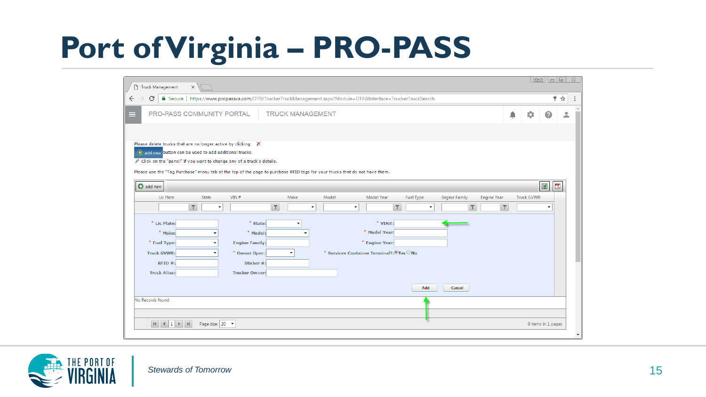| Truck Management<br>$\times$                                                                                                                                                                                                                                                                                                   | $M\text{m}$ $\Box$<br>$\frac{2}{3}$ |
|--------------------------------------------------------------------------------------------------------------------------------------------------------------------------------------------------------------------------------------------------------------------------------------------------------------------------------|-------------------------------------|
| <b>a</b> Secure<br>https://www.propassva.com/DTR/TruckerTruckManagement.aspx?Module=DTR8LInterface=TruckerTruckSearch<br>C<br>$\leftarrow$                                                                                                                                                                                     | ♥ ☆                                 |
| PRO-PASS COMMUNITY PORTAL<br><b>TRUCK MANAGEMENT</b><br>≜<br>=                                                                                                                                                                                                                                                                 | 壺<br>ℯ<br>으                         |
| Please delete trucks that are no longer active by clicking X<br>Co add new button can be used to add additional trucks.<br>Click on the "pencil" if you want to change any of a truck's details.<br>Please use the "Tag Purchase" menu tab at the top of the page to purchase RFID tags for your trucks that do not have them. |                                     |
| add new                                                                                                                                                                                                                                                                                                                        | 罠<br>图                              |
| Lic Plate<br>Make<br>Model<br>Model Year<br>State<br>VIN#<br>Fuel Type<br><b>Engine Family</b><br><b>Engine Year</b>                                                                                                                                                                                                           | <b>Truck GVWR</b>                   |
| $\overline{\mathbf{r}}$<br>$\overline{r}$<br>$\overline{\mathbf{r}}$<br>$\overline{\mathbf{r}}$<br>$\overline{\mathbf{r}}$<br>$\cdot$<br>$\overline{\phantom{a}}$<br>$\checkmark$<br>٠                                                                                                                                         |                                     |
| * Lic Plate:<br>* State:<br>$*$ VIN#:<br>٠                                                                                                                                                                                                                                                                                     |                                     |
| * Model Year:<br>* Make:<br>* Model:                                                                                                                                                                                                                                                                                           |                                     |
| * Fuel Type:<br>* Engine Year:<br><b>Engine Family:</b>                                                                                                                                                                                                                                                                        |                                     |
| * Services Container Terminal?: Ves No<br><b>Truck GVWR:</b><br>* Owner Oper.:<br>$\checkmark$                                                                                                                                                                                                                                 |                                     |
| $RFID#$ :<br>Sticker #:                                                                                                                                                                                                                                                                                                        |                                     |
| <b>Truck Alias:</b><br><b>Trucker Owner:</b>                                                                                                                                                                                                                                                                                   |                                     |
| Add<br>Cancel                                                                                                                                                                                                                                                                                                                  |                                     |
|                                                                                                                                                                                                                                                                                                                                |                                     |
| No Records found.                                                                                                                                                                                                                                                                                                              |                                     |
|                                                                                                                                                                                                                                                                                                                                |                                     |
| Page size: 20 -                                                                                                                                                                                                                                                                                                                | 0 items in 1 pages                  |
|                                                                                                                                                                                                                                                                                                                                |                                     |

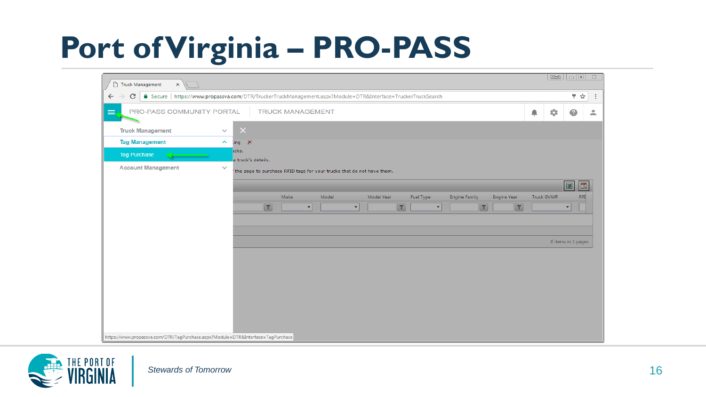| 〒☆<br>△ Secure   https://www.propassva.com/DTR/TruckerTruckManagement.aspx?Module=DTR&Interface=TruckerTruckSearch<br>C<br>PRO-PASS COMMUNITY PORTAL<br><b>TRUCK MANAGEMENT</b><br>٠<br>ੁ<br>◉<br>$\times$<br><b>Truck Management</b><br>$\checkmark$<br><b>Tag Management</b><br>$\hat{\phantom{a}}$<br>$\lim$ g $\times$<br>icks.<br><b>Tag Purchase</b><br>a truck's details.<br><b>Account Management</b><br>$\checkmark$<br>the page to purchase RFID tags for your trucks that do not have them.<br>图<br>閃<br>Make<br>Model<br>Model Year<br>Fuel Type<br><b>Engine Family</b><br><b>Engine Year</b><br><b>Truck GVWR</b><br><b>RFI</b><br>$\mathbf{T}$<br> T <br>$\mathbf{r}$<br>$\overline{\mathbf{r}}$<br>$\blacktriangledown$<br>$\blacktriangledown$<br>$\overline{\phantom{a}}$<br>$\overline{\phantom{a}}$<br>0 items in 1 pages | Truck Management<br>$\times$ |                                                                                 | $\overline{a}$ $\overline{a}$ $\overline{a}$ $\overline{a}$<br>Mark |
|-----------------------------------------------------------------------------------------------------------------------------------------------------------------------------------------------------------------------------------------------------------------------------------------------------------------------------------------------------------------------------------------------------------------------------------------------------------------------------------------------------------------------------------------------------------------------------------------------------------------------------------------------------------------------------------------------------------------------------------------------------------------------------------------------------------------------------------------------|------------------------------|---------------------------------------------------------------------------------|---------------------------------------------------------------------|
|                                                                                                                                                                                                                                                                                                                                                                                                                                                                                                                                                                                                                                                                                                                                                                                                                                               | $\leftarrow$                 |                                                                                 | $\vdots$                                                            |
|                                                                                                                                                                                                                                                                                                                                                                                                                                                                                                                                                                                                                                                                                                                                                                                                                                               | $\equiv$                     |                                                                                 | $\stackrel{\circ}{\phantom{}_{\sim}}$                               |
|                                                                                                                                                                                                                                                                                                                                                                                                                                                                                                                                                                                                                                                                                                                                                                                                                                               |                              |                                                                                 |                                                                     |
|                                                                                                                                                                                                                                                                                                                                                                                                                                                                                                                                                                                                                                                                                                                                                                                                                                               |                              |                                                                                 |                                                                     |
|                                                                                                                                                                                                                                                                                                                                                                                                                                                                                                                                                                                                                                                                                                                                                                                                                                               |                              |                                                                                 |                                                                     |
|                                                                                                                                                                                                                                                                                                                                                                                                                                                                                                                                                                                                                                                                                                                                                                                                                                               |                              |                                                                                 |                                                                     |
|                                                                                                                                                                                                                                                                                                                                                                                                                                                                                                                                                                                                                                                                                                                                                                                                                                               |                              |                                                                                 |                                                                     |
|                                                                                                                                                                                                                                                                                                                                                                                                                                                                                                                                                                                                                                                                                                                                                                                                                                               |                              |                                                                                 |                                                                     |
|                                                                                                                                                                                                                                                                                                                                                                                                                                                                                                                                                                                                                                                                                                                                                                                                                                               |                              |                                                                                 |                                                                     |
|                                                                                                                                                                                                                                                                                                                                                                                                                                                                                                                                                                                                                                                                                                                                                                                                                                               |                              |                                                                                 |                                                                     |
|                                                                                                                                                                                                                                                                                                                                                                                                                                                                                                                                                                                                                                                                                                                                                                                                                                               |                              |                                                                                 |                                                                     |
|                                                                                                                                                                                                                                                                                                                                                                                                                                                                                                                                                                                                                                                                                                                                                                                                                                               |                              |                                                                                 |                                                                     |
|                                                                                                                                                                                                                                                                                                                                                                                                                                                                                                                                                                                                                                                                                                                                                                                                                                               |                              |                                                                                 |                                                                     |
|                                                                                                                                                                                                                                                                                                                                                                                                                                                                                                                                                                                                                                                                                                                                                                                                                                               |                              |                                                                                 |                                                                     |
|                                                                                                                                                                                                                                                                                                                                                                                                                                                                                                                                                                                                                                                                                                                                                                                                                                               |                              |                                                                                 |                                                                     |
|                                                                                                                                                                                                                                                                                                                                                                                                                                                                                                                                                                                                                                                                                                                                                                                                                                               |                              |                                                                                 |                                                                     |
|                                                                                                                                                                                                                                                                                                                                                                                                                                                                                                                                                                                                                                                                                                                                                                                                                                               |                              |                                                                                 |                                                                     |
|                                                                                                                                                                                                                                                                                                                                                                                                                                                                                                                                                                                                                                                                                                                                                                                                                                               |                              |                                                                                 |                                                                     |
|                                                                                                                                                                                                                                                                                                                                                                                                                                                                                                                                                                                                                                                                                                                                                                                                                                               |                              |                                                                                 |                                                                     |
|                                                                                                                                                                                                                                                                                                                                                                                                                                                                                                                                                                                                                                                                                                                                                                                                                                               |                              | https://www.propassva.com/DTR/TagPurchase.aspx?Module=DTR&Interface=TagPurchase |                                                                     |

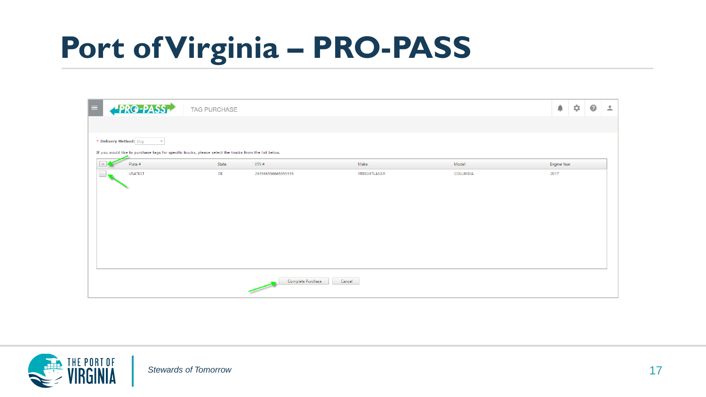| $\equiv$ | <b>PRG-PASS</b>                                                                                                                                  | <b>TAG PURCHASE</b> |                    |              |          | ۸<br>ά      | $\bullet$<br>$\stackrel{\circ}{\neg}$ |
|----------|--------------------------------------------------------------------------------------------------------------------------------------------------|---------------------|--------------------|--------------|----------|-------------|---------------------------------------|
|          |                                                                                                                                                  |                     |                    |              |          |             |                                       |
|          | * Delivery Method: Ship<br>$\mathbf{v}$<br>If you would like to purchase tags for specific trucks, please select the trucks from the list below. |                     |                    |              |          |             |                                       |
|          | Plate #                                                                                                                                          | State               | VIN#               | Make         | Model    | Engine Year |                                       |
|          | <b>USATEST</b>                                                                                                                                   | DE                  | 265566556665555555 | FREIGHTLANER | COLUMBIA | 2017        |                                       |
|          |                                                                                                                                                  |                     |                    |              |          |             |                                       |
|          |                                                                                                                                                  |                     |                    |              |          |             |                                       |
|          |                                                                                                                                                  |                     |                    |              |          |             |                                       |
|          |                                                                                                                                                  |                     |                    |              |          |             |                                       |
|          |                                                                                                                                                  |                     |                    |              |          |             |                                       |
|          |                                                                                                                                                  |                     |                    |              |          |             |                                       |
|          |                                                                                                                                                  |                     | Complete Purchase  | Cancel       |          |             |                                       |

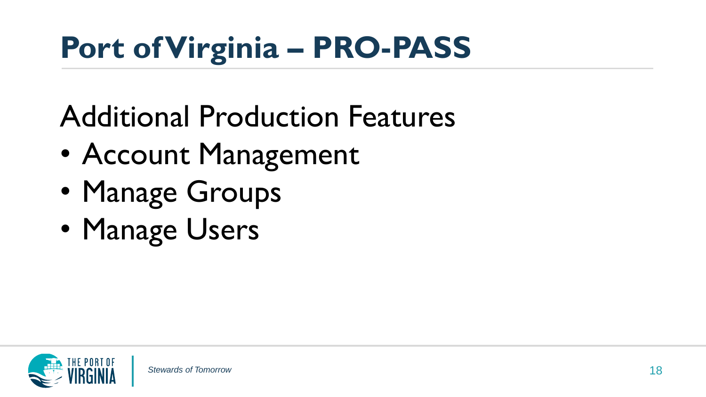Additional Production Features

- Account Management
- Manage Groups
- Manage Users